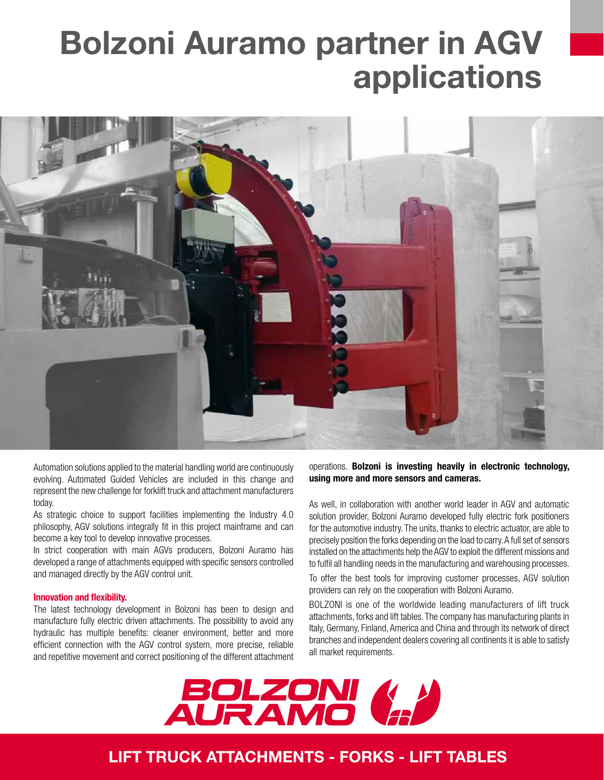# Bolzoni Auramo partner in AGV applications



Automation solutions applied to the material handling world are continuously evolving. Automated Guided Vehicles are included in this change and represent the new challenge for forklift truck and attachment manufacturers today.

As strategic choice to support facilities implementing the Industry 4.0 philosophy, AGV solutions integrally fit in this project mainframe and can become a key tool to develop innovative processes.

In strict cooperation with main AGVs producers, Bolzoni Auramo has developed a range of attachments equipped with specific sensors controlled and managed directly by the AGV control unit.

#### Innovation and flexibility.

The latest technology development in Bolzoni has been to design and manufacture fully electric driven attachments. The possibility to avoid any hydraulic has multiple benefits: cleaner environment, better and more efficient connection with the AGV control system, more precise, reliable and repetitive movement and correct positioning of the different attachment operations. Bolzoni is investing heavily in electronic technology, using more and more sensors and cameras.

As well, in collaboration with another world leader in AGV and automatic solution provider, Bolzoni Auramo developed fully electric fork positioners for the automotive industry. The units, thanks to electric actuator, are able to precisely position the forks depending on the load to carry. A full set of sensors installed on the attachments help the AGV to exploit the different missions and to fulfil all handling needs in the manufacturing and warehousing processes.

To offer the best tools for improving customer processes, AGV solution providers can rely on the cooperation with Bolzoni Auramo.

BOLZONI is one of the worldwide leading manufacturers of lift truck attachments, forks and lift tables. The company has manufacturing plants in Italy, Germany, Finland, America and China and through its network of direct branches and independent dealers covering all continents it is able to satisfy all market requirements.



## LIFT TRUCK ATTACHMENTS - FORKS - LIFT TABLES